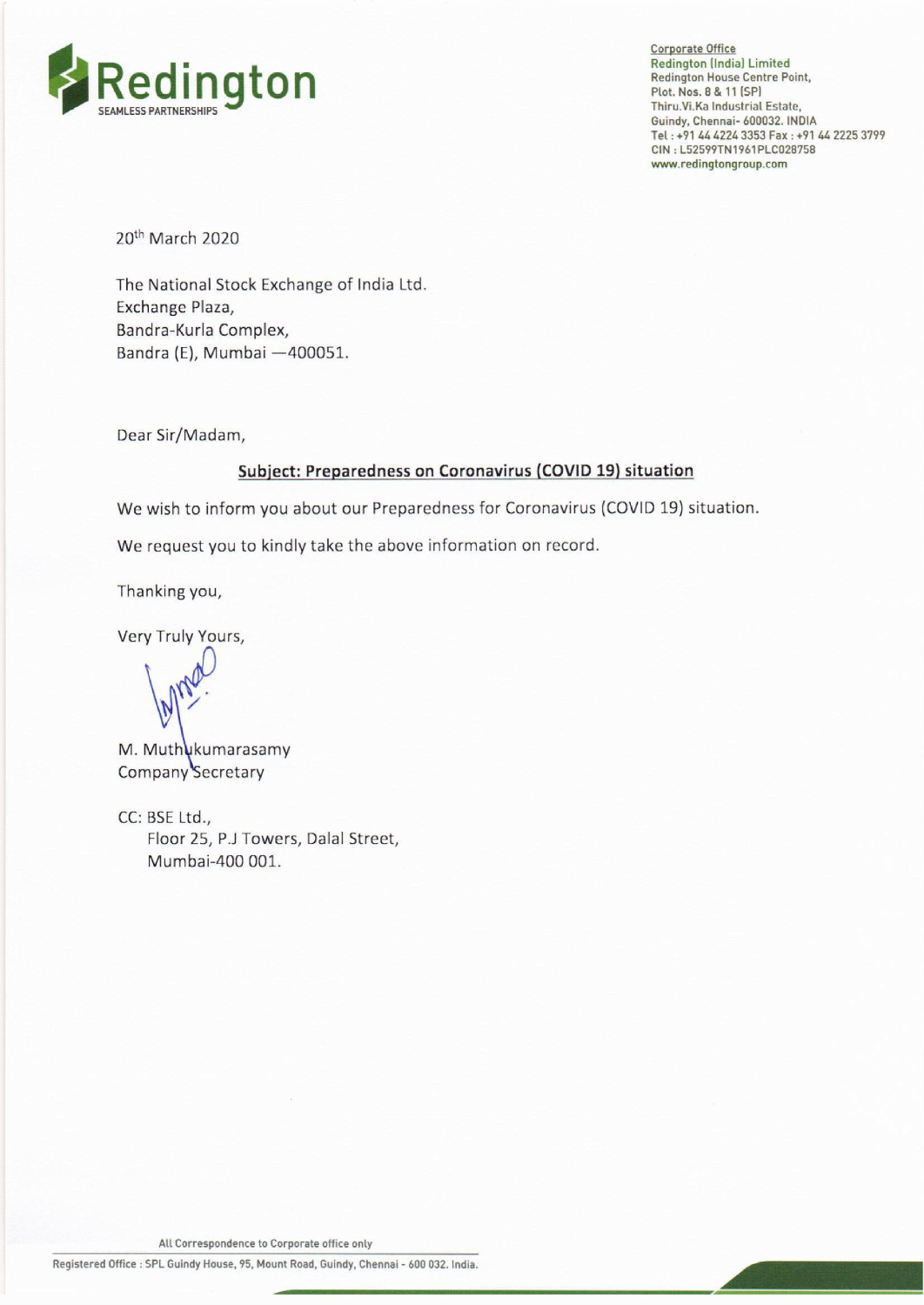

Corporate Office Redington (India) Limited<br>Redington House Centre Point, Plot. Nos. 8 & 11 (SP] Thiru.Vi.Ka Industrial Estate, Guindy, Chennai- 600032. INDIA Tel : +91 44 4224 3353 Fax : +91 44 2225 3799 CIN : L52599TN1961PLC028758 www.redingtongroup.com

20<sup>th</sup> March 2020

The National Stock Exchange of India Ltd. Exchange Plaza, Bandra-Kurla Complex, Bandra (E), Mumbai —400051.

Dear Sir/Madam,

## Subject: Preparedness on Coronavirus (COVID 19) situation ect: Preparedness on Coronavirus (COVID 19) situation<br>bu about our Preparedness for Coronavirus (COVID 19) situation<br>mdly take the above information on record.<br>mysters, Dalal Street,<br>mysters, Dalal Street,<br>...

We wish to inform you about our Preparedness for Coronavirus (COVID 19) situation.

We request you to kindly take the above information on record.

Thanking you,

Very Truly Yours,

..

M. Muthukumarasamy Company Secretary

GC: BSE Ltd.; Floor 25, P.J Towers, Dalal Street, Mumbai-400 001.

All Correspondence to Corporate office only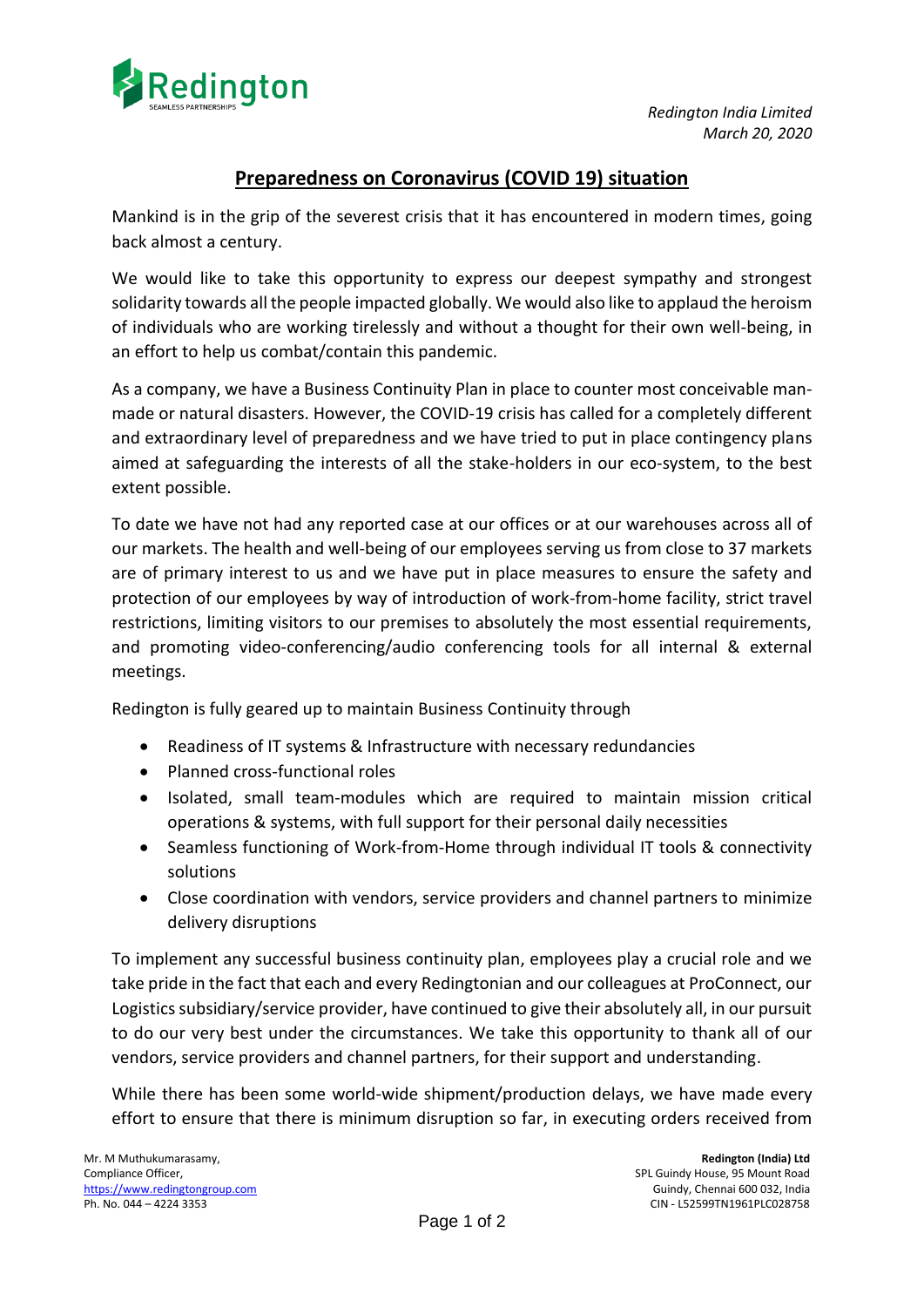

## **Preparedness on Coronavirus (COVID 19) situation**

Mankind is in the grip of the severest crisis that it has encountered in modern times, going back almost a century.

We would like to take this opportunity to express our deepest sympathy and strongest solidarity towards all the people impacted globally. We would also like to applaud the heroism of individuals who are working tirelessly and without a thought for their own well-being, in an effort to help us combat/contain this pandemic.

As a company, we have a Business Continuity Plan in place to counter most conceivable manmade or natural disasters. However, the COVID-19 crisis has called for a completely different and extraordinary level of preparedness and we have tried to put in place contingency plans aimed at safeguarding the interests of all the stake-holders in our eco-system, to the best extent possible.

To date we have not had any reported case at our offices or at our warehouses across all of our markets. The health and well-being of our employees serving us from close to 37 markets are of primary interest to us and we have put in place measures to ensure the safety and protection of our employees by way of introduction of work-from-home facility, strict travel restrictions, limiting visitors to our premises to absolutely the most essential requirements, and promoting video-conferencing/audio conferencing tools for all internal & external meetings.

Redington is fully geared up to maintain Business Continuity through

- Readiness of IT systems & Infrastructure with necessary redundancies
- Planned cross-functional roles
- Isolated, small team-modules which are required to maintain mission critical operations & systems, with full support for their personal daily necessities
- Seamless functioning of Work-from-Home through individual IT tools & connectivity solutions
- Close coordination with vendors, service providers and channel partners to minimize delivery disruptions

To implement any successful business continuity plan, employees play a crucial role and we take pride in the fact that each and every Redingtonian and our colleagues at ProConnect, our Logistics subsidiary/service provider, have continued to give their absolutely all, in our pursuit to do our very best under the circumstances. We take this opportunity to thank all of our vendors, service providers and channel partners, for their support and understanding.

While there has been some world-wide shipment/production delays, we have made every effort to ensure that there is minimum disruption so far, in executing orders received from